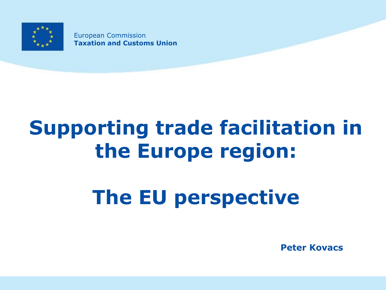

European Commission **Taxation and Customs Union**

# **Supporting trade facilitation in the Europe region:**

# **The EU perspective**

**Peter Kovacs**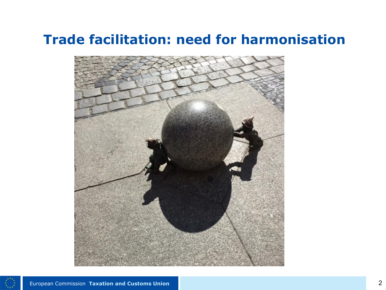# **Trade facilitation: need for harmonisation**



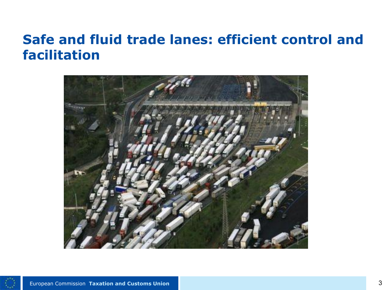### **Safe and fluid trade lanes: efficient control and facilitation**



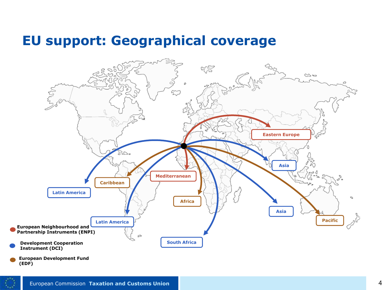### **EU support: Geographical coverage**

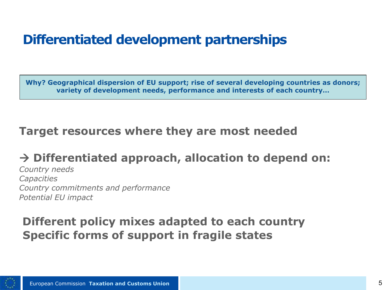# **Differentiated development partnerships**

**Why? Geographical dispersion of EU support; rise of several developing countries as donors; variety of development needs, performance and interests of each country…**

### **Target resources where they are most needed**

#### **Differentiated approach, allocation to depend on:**

*Country needs Capacities Country commitments and performance Potential EU impact* 

### **Different policy mixes adapted to each country Specific forms of support in fragile states**

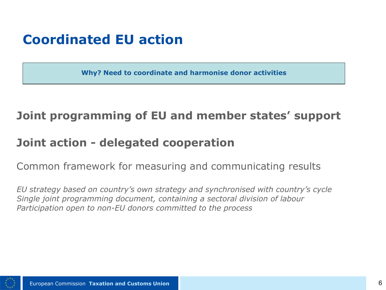# **Coordinated EU action**

**Why? Need to coordinate and harmonise donor activities**

### **Joint programming of EU and member states' support**

#### **Joint action - delegated cooperation**

Common framework for measuring and communicating results

*EU strategy based on country's own strategy and synchronised with country's cycle Single joint programming document, containing a sectoral division of labour Participation open to non-EU donors committed to the process*

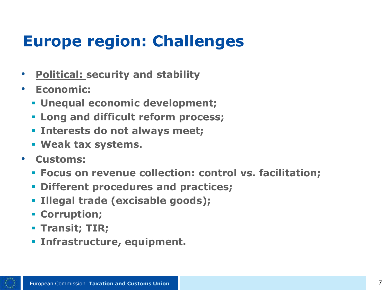# **Europe region: Challenges**

- **Political: security and stability**
- **Economic:** 
	- **Unequal economic development;**
	- **Long and difficult reform process;**
	- **Interests do not always meet;**
	- **Weak tax systems.**
- **Customs:**
	- **Focus on revenue collection: control vs. facilitation;**
	- **Different procedures and practices;**
	- **Illegal trade (excisable goods);**
	- **Corruption;**
	- **Transit; TIR;**
	- **Infrastructure, equipment.**

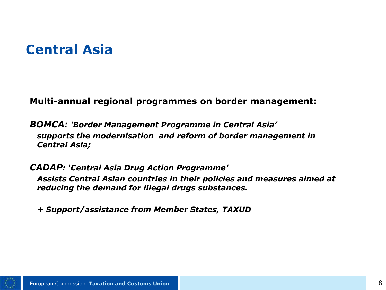# **Central Asia**

**Multi-annual regional programmes on border management:**

*BOMCA: 'Border Management Programme in Central Asia'*  • *supports the modernisation and reform of border management in Central Asia;* 

*CADAP: 'Central Asia Drug Action Programme'*  • *Assists Central Asian countries in their policies and measures aimed at reducing the demand for illegal drugs substances.*

• *+ Support/assistance from Member States, TAXUD*

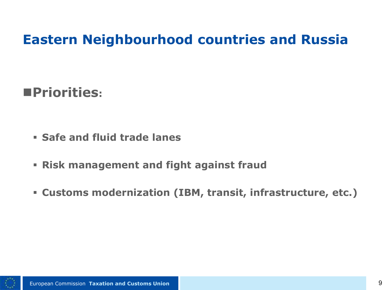# **Eastern Neighbourhood countries and Russia**

# **Priorities:**

- **Safe and fluid trade lanes**
- **Risk management and fight against fraud**
- **Customs modernization (IBM, transit, infrastructure, etc.)**

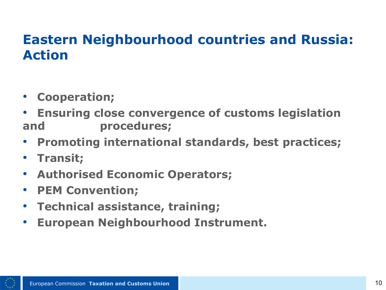# **Eastern Neighbourhood countries and Russia: Action**

- **Cooperation;**
- **Ensuring close convergence of customs legislation and procedures;**
- **Promoting international standards, best practices;**
- **Transit;**
- **Authorised Economic Operators;**
- **PEM Convention;**
- **Technical assistance, training;**
- **European Neighbourhood Instrument.**

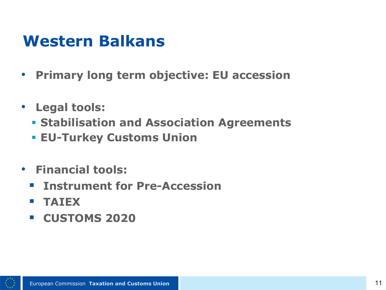# **Western Balkans**

- **Primary long term objective: EU accession**
- **Legal tools:**
	- **Stabilisation and Association Agreements**
	- **EU-Turkey Customs Union**
- **Financial tools:**
	- **Instrument for Pre-Accession**
	- **TAIEX**
	- **CUSTOMS 2020**

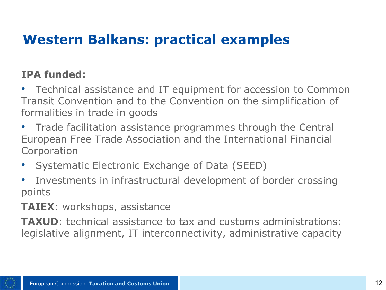# **Western Balkans: practical examples**

#### **IPA funded:**

• Technical assistance and IT equipment for accession to Common Transit Convention and to the Convention on the simplification of formalities in trade in goods

- Trade facilitation assistance programmes through the Central European Free Trade Association and the International Financial Corporation
- Systematic Electronic Exchange of Data (SEED)
- Investments in infrastructural development of border crossing points

**TAIEX**: workshops, assistance

**TAXUD**: technical assistance to tax and customs administrations: legislative alignment, IT interconnectivity, administrative capacity

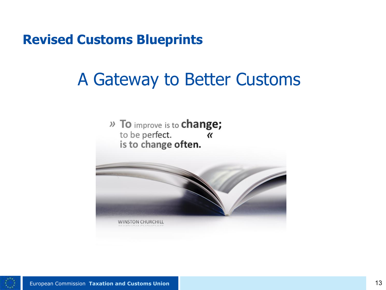**Revised Customs Blueprints**

# A Gateway to Better Customs

» To improve is to change; to be perfect.  $\alpha$ is to change often.